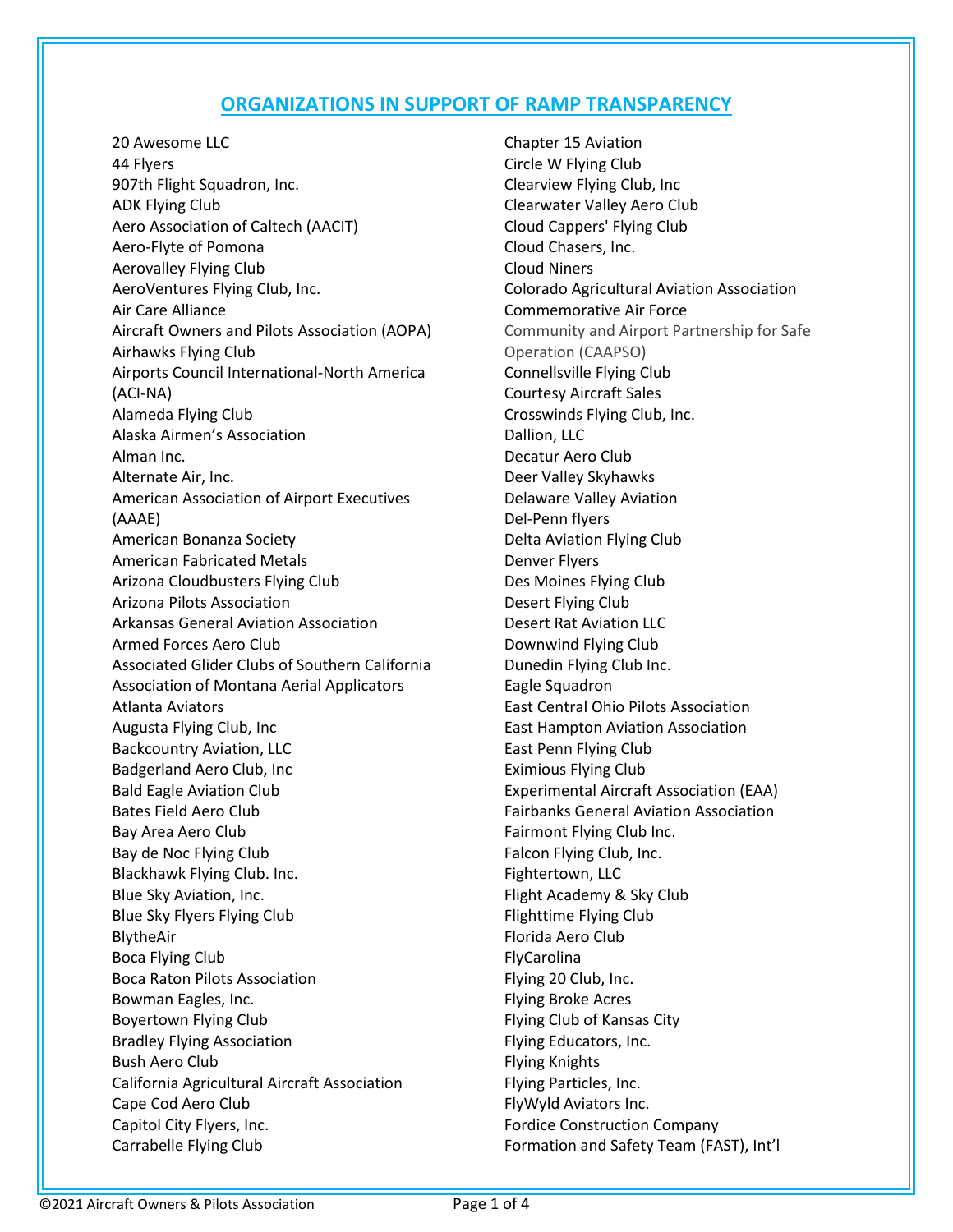## **ORGANIZATIONS IN SUPPORT OF RAMP TRANSPARENCY**

20 Awesome LLC 44 Flyers 907th Flight Squadron, Inc. ADK Flying Club Aero Association of Caltech (AACIT) Aero-Flyte of Pomona Aerovalley Flying Club AeroVentures Flying Club, Inc. Air Care Alliance Aircraft Owners and Pilots Association (AOPA) Airhawks Flying Club Airports Council International-North America (ACI-NA) Alameda Flying Club Alaska Airmen's Association Alman Inc. Alternate Air, Inc. American Association of Airport Executives (AAAE) American Bonanza Society American Fabricated Metals Arizona Cloudbusters Flying Club Arizona Pilots Association Arkansas General Aviation Association Armed Forces Aero Club Associated Glider Clubs of Southern California Association of Montana Aerial Applicators Atlanta Aviators Augusta Flying Club, Inc Backcountry Aviation, LLC Badgerland Aero Club, Inc Bald Eagle Aviation Club Bates Field Aero Club Bay Area Aero Club Bay de Noc Flying Club Blackhawk Flying Club. Inc. Blue Sky Aviation, Inc. Blue Sky Flyers Flying Club BlytheAir Boca Flying Club Boca Raton Pilots Association Bowman Eagles, Inc. Boyertown Flying Club Bradley Flying Association Bush Aero Club California Agricultural Aircraft Association Cape Cod Aero Club Capitol City Flyers, Inc. Carrabelle Flying Club

Chapter 15 Aviation Circle W Flying Club Clearview Flying Club, Inc Clearwater Valley Aero Club Cloud Cappers' Flying Club Cloud Chasers, Inc. Cloud Niners Colorado Agricultural Aviation Association Commemorative Air Force Community and Airport Partnership for Safe Operation (CAAPSO) Connellsville Flying Club Courtesy Aircraft Sales Crosswinds Flying Club, Inc. Dallion, LLC Decatur Aero Club Deer Valley Skyhawks Delaware Valley Aviation Del-Penn flyers Delta Aviation Flying Club Denver Flyers Des Moines Flying Club Desert Flying Club Desert Rat Aviation LLC Downwind Flying Club Dunedin Flying Club Inc. Eagle Squadron East Central Ohio Pilots Association East Hampton Aviation Association East Penn Flying Club Eximious Flying Club Experimental Aircraft Association (EAA) Fairbanks General Aviation Association Fairmont Flying Club Inc. Falcon Flying Club, Inc. Fightertown, LLC Flight Academy & Sky Club Flighttime Flying Club Florida Aero Club FlyCarolina Flying 20 Club, Inc. Flying Broke Acres Flying Club of Kansas City Flying Educators, Inc. Flying Knights Flying Particles, Inc. FlyWyld Aviators Inc. Fordice Construction Company Formation and Safety Team (FAST), Int'l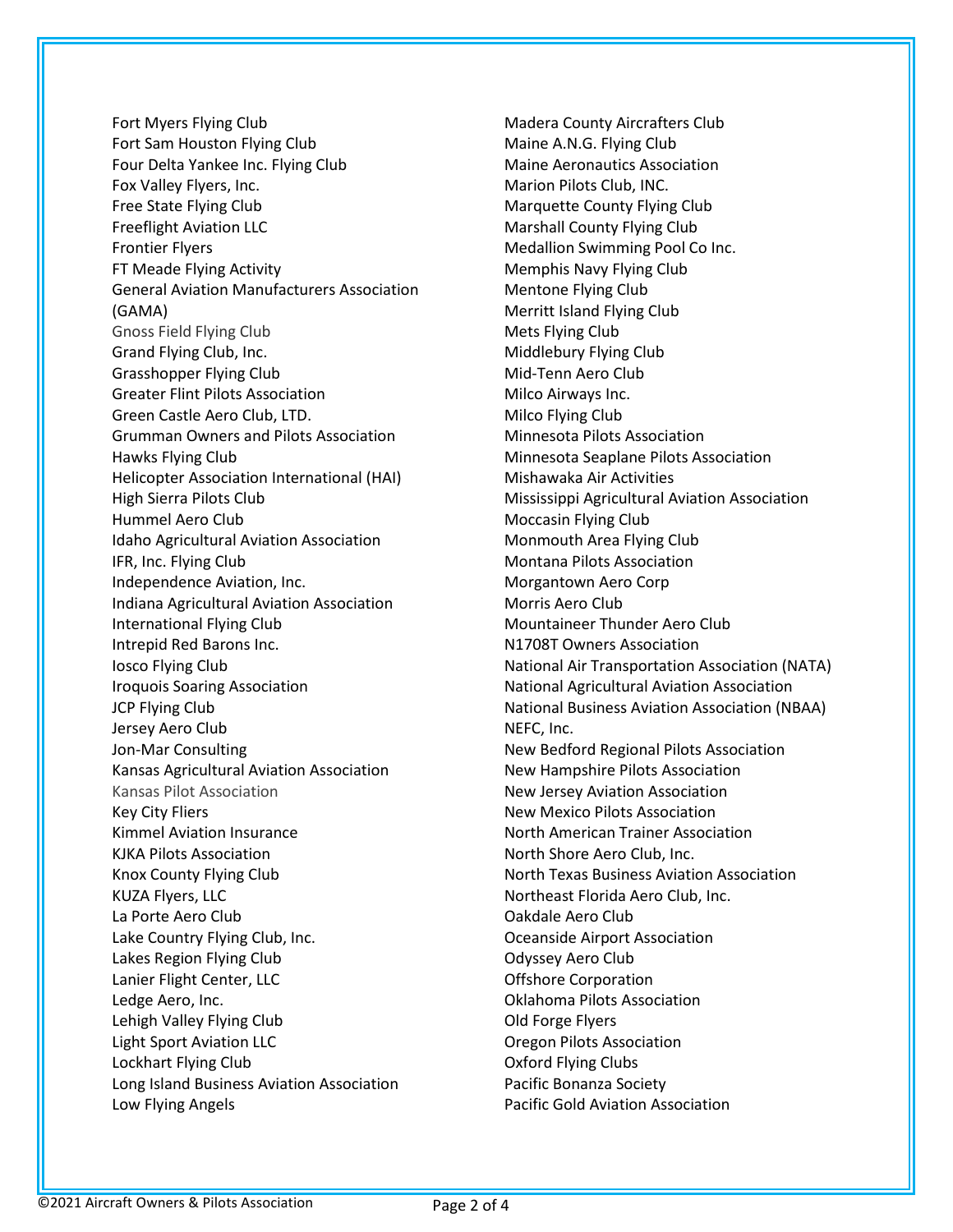Fort Myers Flying Club Fort Sam Houston Flying Club Four Delta Yankee Inc. Flying Club Fox Valley Flyers, Inc. Free State Flying Club Freeflight Aviation LLC Frontier Flyers FT Meade Flying Activity General Aviation Manufacturers Association (GAMA) Gnoss Field Flying Club Grand Flying Club, Inc. Grasshopper Flying Club Greater Flint Pilots Association Green Castle Aero Club, LTD. Grumman Owners and Pilots Association Hawks Flying Club Helicopter Association International (HAI) High Sierra Pilots Club Hummel Aero Club Idaho Agricultural Aviation Association IFR, Inc. Flying Club Independence Aviation, Inc. Indiana Agricultural Aviation Association International Flying Club Intrepid Red Barons Inc. Iosco Flying Club Iroquois Soaring Association JCP Flying Club Jersey Aero Club Jon-Mar Consulting Kansas Agricultural Aviation Association Kansas Pilot Association Key City Fliers Kimmel Aviation Insurance KJKA Pilots Association Knox County Flying Club KUZA Flyers, LLC La Porte Aero Club Lake Country Flying Club, Inc. Lakes Region Flying Club Lanier Flight Center, LLC Ledge Aero, Inc. Lehigh Valley Flying Club Light Sport Aviation LLC Lockhart Flying Club Long Island Business Aviation Association Low Flying Angels

Madera County Aircrafters Club Maine A.N.G. Flying Club Maine Aeronautics Association Marion Pilots Club, INC. Marquette County Flying Club Marshall County Flying Club Medallion Swimming Pool Co Inc. Memphis Navy Flying Club Mentone Flying Club Merritt Island Flying Club Mets Flying Club Middlebury Flying Club Mid-Tenn Aero Club Milco Airways Inc. Milco Flying Club Minnesota Pilots Association Minnesota Seaplane Pilots Association Mishawaka Air Activities Mississippi Agricultural Aviation Association Moccasin Flying Club Monmouth Area Flying Club Montana Pilots Association Morgantown Aero Corp Morris Aero Club Mountaineer Thunder Aero Club N1708T Owners Association National Air Transportation Association (NATA) National Agricultural Aviation Association National Business Aviation Association (NBAA) NEFC, Inc. New Bedford Regional Pilots Association New Hampshire Pilots Association New Jersey Aviation Association New Mexico Pilots Association North American Trainer Association North Shore Aero Club, Inc. North Texas Business Aviation Association Northeast Florida Aero Club, Inc. Oakdale Aero Club Oceanside Airport Association Odyssey Aero Club Offshore Corporation Oklahoma Pilots Association Old Forge Flyers Oregon Pilots Association Oxford Flying Clubs Pacific Bonanza Society Pacific Gold Aviation Association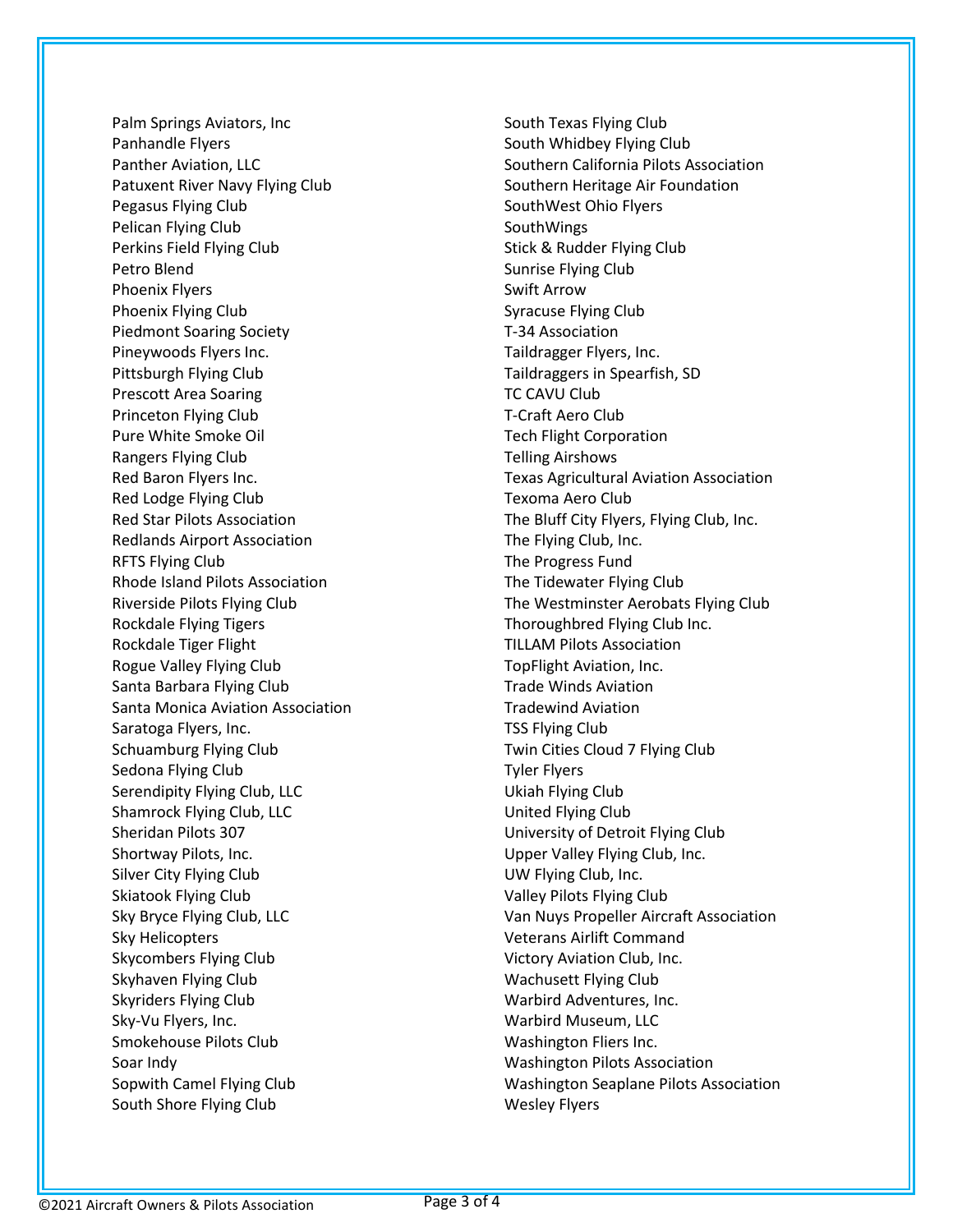Palm Springs Aviators, Inc Panhandle Flyers Panther Aviation, LLC Patuxent River Navy Flying Club Pegasus Flying Club Pelican Flying Club Perkins Field Flying Club Petro Blend Phoenix Flyers Phoenix Flying Club Piedmont Soaring Society Pineywoods Flyers Inc. Pittsburgh Flying Club Prescott Area Soaring Princeton Flying Club Pure White Smoke Oil Rangers Flying Club Red Baron Flyers Inc. Red Lodge Flying Club Red Star Pilots Association Redlands Airport Association RFTS Flying Club Rhode Island Pilots Association Riverside Pilots Flying Club Rockdale Flying Tigers Rockdale Tiger Flight Rogue Valley Flying Club Santa Barbara Flying Club Santa Monica Aviation Association Saratoga Flyers, Inc. Schuamburg Flying Club Sedona Flying Club Serendipity Flying Club, LLC Shamrock Flying Club, LLC Sheridan Pilots 307 Shortway Pilots, Inc. Silver City Flying Club Skiatook Flying Club Sky Bryce Flying Club, LLC Sky Helicopters Skycombers Flying Club Skyhaven Flying Club Skyriders Flying Club Sky-Vu Flyers, Inc. Smokehouse Pilots Club Soar Indy Sopwith Camel Flying Club South Shore Flying Club

South Texas Flying Club South Whidbey Flying Club Southern California Pilots Association Southern Heritage Air Foundation SouthWest Ohio Flyers SouthWings Stick & Rudder Flying Club Sunrise Flying Club Swift Arrow Syracuse Flying Club T-34 Association Taildragger Flyers, Inc. Taildraggers in Spearfish, SD TC CAVU Club T-Craft Aero Club Tech Flight Corporation Telling Airshows Texas Agricultural Aviation Association Texoma Aero Club The Bluff City Flyers, Flying Club, Inc. The Flying Club, Inc. The Progress Fund The Tidewater Flying Club The Westminster Aerobats Flying Club Thoroughbred Flying Club Inc. TILLAM Pilots Association TopFlight Aviation, Inc. Trade Winds Aviation Tradewind Aviation TSS Flying Club Twin Cities Cloud 7 Flying Club Tyler Flyers Ukiah Flying Club United Flying Club University of Detroit Flying Club Upper Valley Flying Club, Inc. UW Flying Club, Inc. Valley Pilots Flying Club Van Nuys Propeller Aircraft Association Veterans Airlift Command Victory Aviation Club, Inc. Wachusett Flying Club Warbird Adventures, Inc. Warbird Museum, LLC Washington Fliers Inc. Washington Pilots Association Washington Seaplane Pilots Association Wesley Flyers